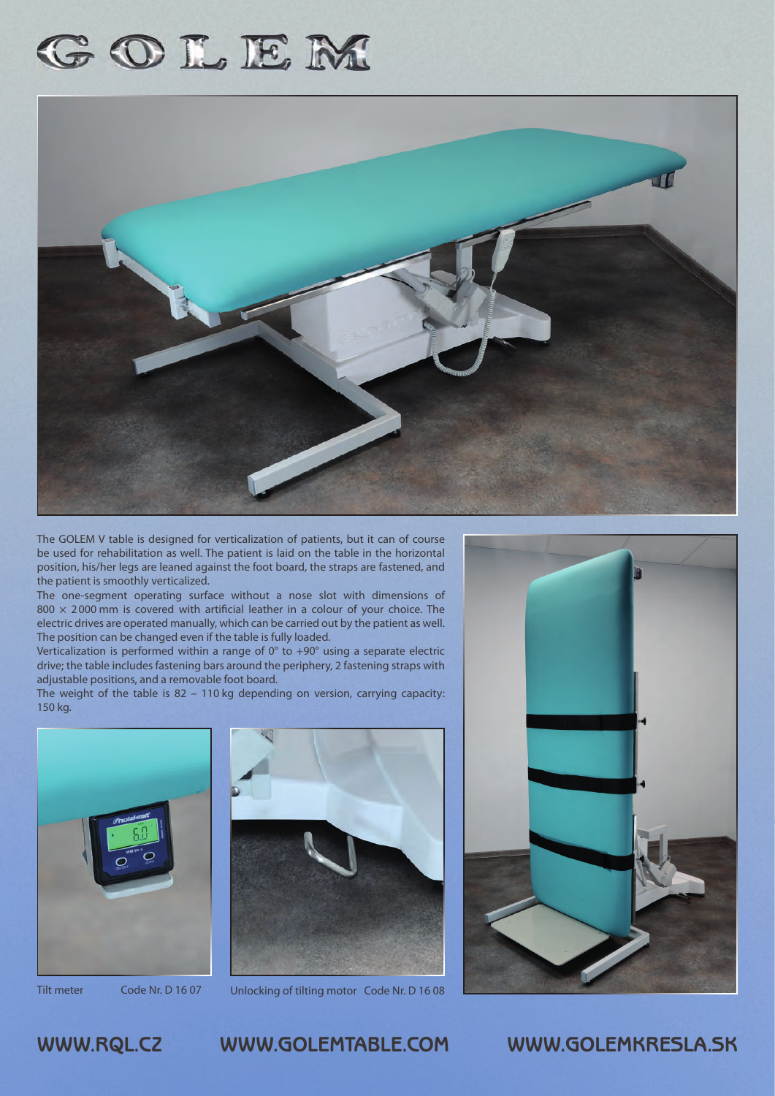# GOLEM



The GOLEM V table is designed for verticalization of patients, but it can of course be used for rehabilitation as well. The patient is laid on the table in the horizontal position, his/her legs are leaned against the foot board, the straps are fastened, and the patient is smoothly verticalized.

The one-segment operating surface without a nose slot with dimensions of  $800 \times 2000$  mm is covered with artificial leather in a colour of your choice. The electric drives are operated manually, which can be carried out by the patient as well. The position can be changed even if the table is fully loaded.

Verticalization is performed within a range of 0° to +90° using a separate electric drive; the table includes fastening bars around the periphery, 2 fastening straps with adjustable positions, and a removable foot board.

The weight of the table is 82 - 110 kg depending on version, carrying capacity: 150 kg.







Tilt meter Code Nr. D 16 07 Unlocking of tilting motor Code Nr. D 16 08



# **WWW.RQL.CZ WWW.GOLEMTABLE.COM WWW.GOLEMKRESLA.SK**